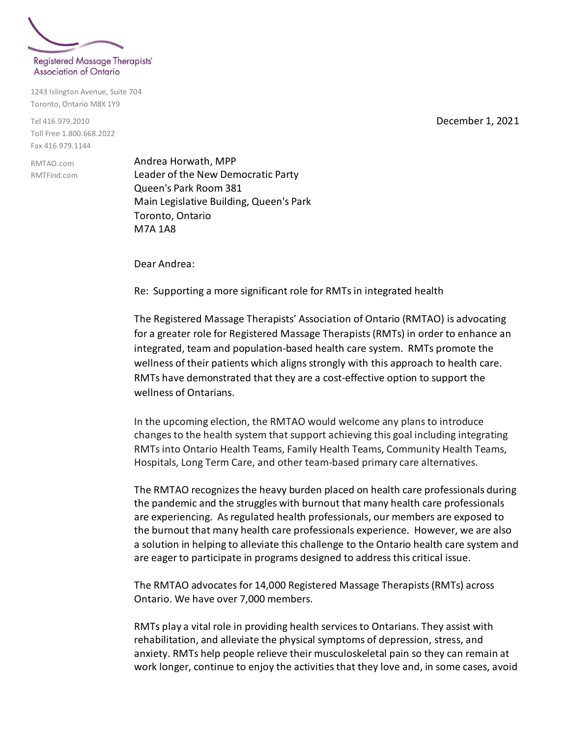

1243 Islington Avenue, Suite 704 Toronto, Ontario M8X 1Y9

Tel 416.979.2010 Toll Free 1.800.668.2022 Fax 416.979.1144

RMTAO.com RMTFind.com Andrea Horwath, MPP Leader of the New Democratic Party Queen's Park Room 381 Main Legislative Building, Queen's Park Toronto, Ontario M7A 1A8

Dear Andrea:

Re: Supporting a more significant role for RMTs in integrated health

The Registered Massage Therapists' Association of Ontario (RMTAO) is advocating for a greater role for Registered Massage Therapists (RMTs) in order to enhance an integrated, team and population-based health care system.RMTs promote the wellness of their patients which aligns strongly with this approach to health care. RMTs have demonstrated that they are a cost-effective option to support the wellness of Ontarians.

In the upcoming election, the RMTAO would welcome any plans to introduce changes to the health system that support achieving this goal including integrating RMTs into Ontario Health Teams, Family Health Teams, Community Health Teams, Hospitals, Long Term Care, and other team-based primary care alternatives.

The RMTAO recognizes the heavy burden placed on health care professionals during the pandemic and the struggles with burnout that many health care professionals are experiencing. As regulated health professionals, our members are exposed to the burnout that many health care professionals experience. However, we are also a solution in helping to alleviate this challenge to the Ontario health care system and are eager to participate in programs designed to address this critical issue.

The RMTAO advocates for 14,000 Registered Massage Therapists (RMTs) across Ontario. We have over 7,000 members.

RMTs play a vital role in providing health services to Ontarians. They assist with rehabilitation, and alleviate the physical symptoms of depression, stress, and anxiety. RMTs help people relieve their musculoskeletal pain so they can remain at work longer, continue to enjoy the activities that they love and, in some cases, avoid

December 1, 2021